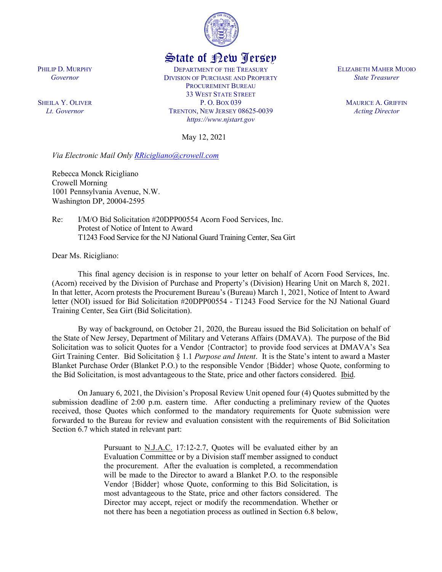

## State of New Jersey

DEPARTMENT OF THE TREASURY DIVISION OF PURCHASE AND PROPERTY PROCUREMENT BUREAU 33 WEST STATE STREET P. O. BOX 039 TRENTON, NEW JERSEY 08625-0039 *https://www.njstart.gov*

May 12, 2021

*Via Electronic Mail Only [RRicigliano@crowell.com](mailto:RRicigliano@crowell.com)*

Rebecca Monck Ricigliano Crowell Morning 1001 Pennsylvania Avenue, N.W. Washington DP, 20004-2595

Re: I/M/O Bid Solicitation #20DPP00554 Acorn Food Services, Inc. Protest of Notice of Intent to Award T1243 Food Service for the NJ National Guard Training Center, Sea Girt

Dear Ms. Ricigliano:

This final agency decision is in response to your letter on behalf of Acorn Food Services, Inc. (Acorn) received by the Division of Purchase and Property's (Division) Hearing Unit on March 8, 2021. In that letter, Acorn protests the Procurement Bureau's (Bureau) March 1, 2021, Notice of Intent to Award letter (NOI) issued for Bid Solicitation #20DPP00554 - T1243 Food Service for the NJ National Guard Training Center, Sea Girt (Bid Solicitation).

By way of background, on October 21, 2020, the Bureau issued the Bid Solicitation on behalf of the State of New Jersey, Department of Military and Veterans Affairs (DMAVA). The purpose of the Bid Solicitation was to solicit Quotes for a Vendor {Contractor} to provide food services at DMAVA's Sea Girt Training Center. Bid Solicitation § 1.1 *Purpose and Intent*. It is the State's intent to award a Master Blanket Purchase Order (Blanket P.O.) to the responsible Vendor {Bidder} whose Quote, conforming to the Bid Solicitation, is most advantageous to the State, price and other factors considered. Ibid.

On January 6, 2021, the Division's Proposal Review Unit opened four (4) Quotes submitted by the submission deadline of 2:00 p.m. eastern time. After conducting a preliminary review of the Quotes received, those Quotes which conformed to the mandatory requirements for Quote submission were forwarded to the Bureau for review and evaluation consistent with the requirements of Bid Solicitation Section 6.7 which stated in relevant part:

> Pursuant to N.J.A.C. 17:12-2.7, Quotes will be evaluated either by an Evaluation Committee or by a Division staff member assigned to conduct the procurement. After the evaluation is completed, a recommendation will be made to the Director to award a Blanket P.O. to the responsible Vendor {Bidder} whose Quote, conforming to this Bid Solicitation, is most advantageous to the State, price and other factors considered. The Director may accept, reject or modify the recommendation. Whether or not there has been a negotiation process as outlined in Section 6.8 below,

ELIZABETH MAHER MUOIO *State Treasurer*

> MAURICE A. GRIFFIN *Acting Director*

PHILIP D. MURPHY *Governor*

SHEILA Y. OLIVER *Lt. Governor*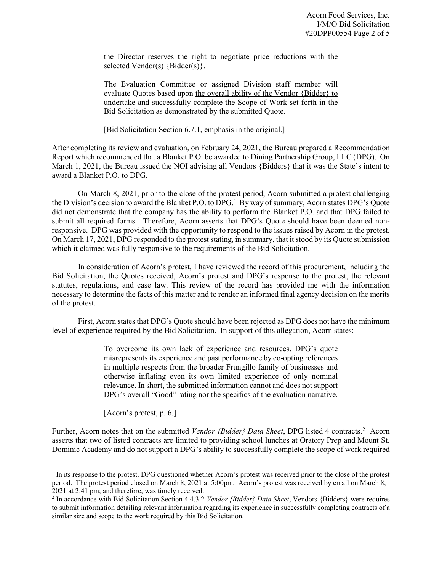the Director reserves the right to negotiate price reductions with the selected Vendor(s) {Bidder(s)}.

The Evaluation Committee or assigned Division staff member will evaluate Quotes based upon the overall ability of the Vendor {Bidder} to undertake and successfully complete the Scope of Work set forth in the Bid Solicitation as demonstrated by the submitted Quote*.*

[Bid Solicitation Section 6.7.1, emphasis in the original.]

After completing its review and evaluation, on February 24, 2021, the Bureau prepared a Recommendation Report which recommended that a Blanket P.O. be awarded to Dining Partnership Group, LLC (DPG). On March 1, 2021, the Bureau issued the NOI advising all Vendors {Bidders} that it was the State's intent to award a Blanket P.O. to DPG.

On March 8, 2021, prior to the close of the protest period, Acorn submitted a protest challenging the Division's decision to award the Blanket P.O. to DPG.<sup>[1](#page-1-0)</sup> By way of summary, Acorn states DPG's Quote did not demonstrate that the company has the ability to perform the Blanket P.O. and that DPG failed to submit all required forms. Therefore, Acorn asserts that DPG's Quote should have been deemed nonresponsive. DPG was provided with the opportunity to respond to the issues raised by Acorn in the protest. On March 17, 2021, DPG responded to the protest stating, in summary, that it stood by its Quote submission which it claimed was fully responsive to the requirements of the Bid Solicitation.

In consideration of Acorn's protest, I have reviewed the record of this procurement, including the Bid Solicitation, the Quotes received, Acorn's protest and DPG's response to the protest, the relevant statutes, regulations, and case law. This review of the record has provided me with the information necessary to determine the facts of this matter and to render an informed final agency decision on the merits of the protest.

First, Acorn states that DPG's Quote should have been rejected as DPG does not have the minimum level of experience required by the Bid Solicitation. In support of this allegation, Acorn states:

> To overcome its own lack of experience and resources, DPG's quote misrepresents its experience and past performance by co-opting references in multiple respects from the broader Frungillo family of businesses and otherwise inflating even its own limited experience of only nominal relevance. In short, the submitted information cannot and does not support DPG's overall "Good" rating nor the specifics of the evaluation narrative.

[Acorn's protest, p. 6.]

Further, Acorn notes that on the submitted *Vendor {Bidder} Data Sheet*, DPG listed 4 contracts.<sup>2</sup> Acorn asserts that two of listed contracts are limited to providing school lunches at Oratory Prep and Mount St. Dominic Academy and do not support a DPG's ability to successfully complete the scope of work required

<span id="page-1-0"></span><sup>&</sup>lt;sup>1</sup> In its response to the protest, DPG questioned whether Acorn's protest was received prior to the close of the protest period. The protest period closed on March 8, 2021 at 5:00pm. Acorn's protest was received by email on March 8, 2021 at 2:41 pm; and therefore, was timely received. 2 In accordance with Bid Solicitation Section 4.4.3.2 *Vendor {Bidder} Data Sheet*, Vendors {Bidders} were requires

<span id="page-1-1"></span>to submit information detailing relevant information regarding its experience in successfully completing contracts of a similar size and scope to the work required by this Bid Solicitation.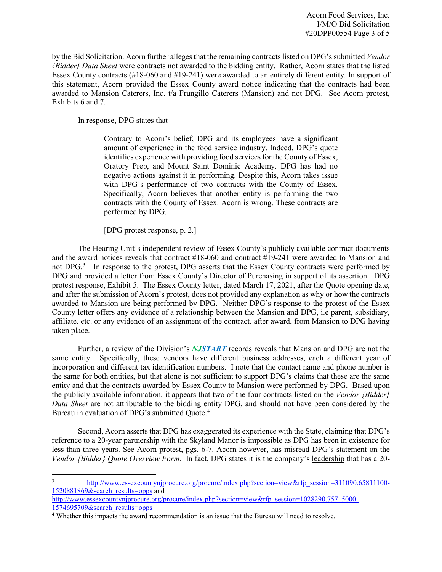Acorn Food Services, Inc. I/M/O Bid Solicitation #20DPP00554 Page 3 of 5

by the Bid Solicitation. Acorn further alleges that the remaining contracts listed on DPG's submitted *Vendor {Bidder} Data Sheet* were contracts not awarded to the bidding entity. Rather, Acorn states that the listed Essex County contracts (#18-060 and #19-241) were awarded to an entirely different entity. In support of this statement, Acorn provided the Essex County award notice indicating that the contracts had been awarded to Mansion Caterers, Inc. t/a Frungillo Caterers (Mansion) and not DPG. See Acorn protest, Exhibits 6 and 7.

In response, DPG states that

Contrary to Acorn's belief, DPG and its employees have a significant amount of experience in the food service industry. Indeed, DPG's quote identifies experience with providing food services for the County of Essex, Oratory Prep, and Mount Saint Dominic Academy. DPG has had no negative actions against it in performing. Despite this, Acorn takes issue with DPG's performance of two contracts with the County of Essex. Specifically, Acorn believes that another entity is performing the two contracts with the County of Essex. Acorn is wrong. These contracts are performed by DPG.

[DPG protest response, p. 2.]

The Hearing Unit's independent review of Essex County's publicly available contract documents and the award notices reveals that contract #18-060 and contract #19-241 were awarded to Mansion and not DPG.<sup>[3](#page-2-0)</sup> In response to the protest, DPG asserts that the Essex County contracts were performed by DPG and provided a letter from Essex County's Director of Purchasing in support of its assertion. DPG protest response, Exhibit 5. The Essex County letter, dated March 17, 2021, after the Quote opening date, and after the submission of Acorn's protest, does not provided any explanation as why or how the contracts awarded to Mansion are being performed by DPG. Neither DPG's response to the protest of the Essex County letter offers any evidence of a relationship between the Mansion and DPG, i.e parent, subsidiary, affiliate, etc. or any evidence of an assignment of the contract, after award, from Mansion to DPG having taken place.

Further, a review of the Division's *NJSTART* records reveals that Mansion and DPG are not the same entity. Specifically, these vendors have different business addresses, each a different year of incorporation and different tax identification numbers. I note that the contact name and phone number is the same for both entities, but that alone is not sufficient to support DPG's claims that these are the same entity and that the contracts awarded by Essex County to Mansion were performed by DPG. Based upon the publicly available information, it appears that two of the four contracts listed on the *Vendor {Bidder} Data Sheet* are not attributable to the bidding entity DPG, and should not have been considered by the Bureau in evaluation of DPG's submitted Quote.<sup>[4](#page-2-1)</sup>

Second, Acorn asserts that DPG has exaggerated its experience with the State, claiming that DPG's reference to a 20-year partnership with the Skyland Manor is impossible as DPG has been in existence for less than three years. See Acorn protest, pgs. 6-7. Acorn however, has misread DPG's statement on the *Vendor {Bidder} Quote Overview Form*. In fact, DPG states it is the company's leadership that has a 20-

<span id="page-2-0"></span>[http://www.essexcountynjprocure.org/procure/index.php?section=view&rfp\\_session=311090.65811100-](http://www.essexcountynjprocure.org/procure/index.php?section=view&rfp_session=311090.65811100-1520881869&search_results=opps) [1520881869&search\\_results=opps](http://www.essexcountynjprocure.org/procure/index.php?section=view&rfp_session=311090.65811100-1520881869&search_results=opps) and [http://www.essexcountynjprocure.org/procure/index.php?section=view&rfp\\_session=1028290.75715000-](http://www.essexcountynjprocure.org/procure/index.php?section=view&rfp_session=1028290.75715000-1574695709&search_results=opps)<br>1574695709&search\_results=opps

<span id="page-2-1"></span><sup>&</sup>lt;sup>4</sup> Whether this impacts the award recommendation is an issue that the Bureau will need to resolve.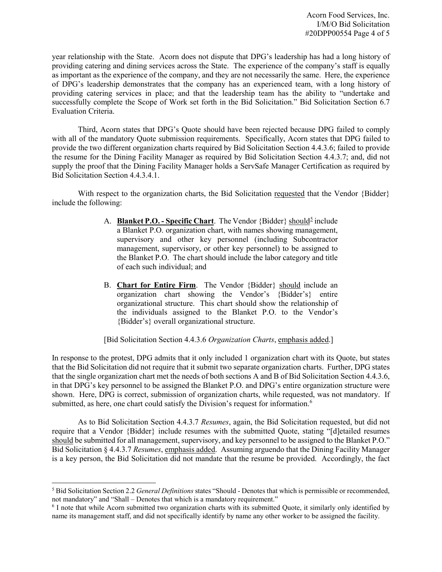year relationship with the State. Acorn does not dispute that DPG's leadership has had a long history of providing catering and dining services across the State. The experience of the company's staff is equally as important as the experience of the company, and they are not necessarily the same. Here, the experience of DPG's leadership demonstrates that the company has an experienced team, with a long history of providing catering services in place; and that the leadership team has the ability to "undertake and successfully complete the Scope of Work set forth in the Bid Solicitation." Bid Solicitation Section 6.7 Evaluation Criteria.

Third, Acorn states that DPG's Quote should have been rejected because DPG failed to comply with all of the mandatory Quote submission requirements. Specifically, Acorn states that DPG failed to provide the two different organization charts required by Bid Solicitation Section 4.4.3.6; failed to provide the resume for the Dining Facility Manager as required by Bid Solicitation Section 4.4.3.7; and, did not supply the proof that the Dining Facility Manager holds a ServSafe Manager Certification as required by Bid Solicitation Section 4.4.3.4.1.

With respect to the organization charts, the Bid Solicitation requested that the Vendor {Bidder} include the following:

- A. **Blanket P.O. Specific Chart**. The Vendor {Bidder} should<sup>[5](#page-3-0)</sup> include a Blanket P.O. organization chart, with names showing management, supervisory and other key personnel (including Subcontractor management, supervisory, or other key personnel) to be assigned to the Blanket P.O. The chart should include the labor category and title of each such individual; and
- B. **Chart for Entire Firm**. The Vendor {Bidder} should include an organization chart showing the Vendor's {Bidder's} entire organizational structure. This chart should show the relationship of the individuals assigned to the Blanket P.O. to the Vendor's {Bidder's} overall organizational structure.

[Bid Solicitation Section 4.4.3.6 *Organization Charts*, emphasis added.]

In response to the protest, DPG admits that it only included 1 organization chart with its Quote, but states that the Bid Solicitation did not require that it submit two separate organization charts. Further, DPG states that the single organization chart met the needs of both sections A and B of Bid Solicitation Section 4.4.3.6, in that DPG's key personnel to be assigned the Blanket P.O. and DPG's entire organization structure were shown. Here, DPG is correct, submission of organization charts, while requested, was not mandatory. If submitted, as here, one chart could satisfy the Division's request for information.<sup>[6](#page-3-1)</sup>

As to Bid Solicitation Section 4.4.3.7 *Resumes*, again, the Bid Solicitation requested, but did not require that a Vendor {Bidder} include resumes with the submitted Quote, stating "[d]etailed resumes should be submitted for all management, supervisory, and key personnel to be assigned to the Blanket P.O." Bid Solicitation § 4.4.3.7 *Resumes*, emphasis added. Assuming arguendo that the Dining Facility Manager is a key person, the Bid Solicitation did not mandate that the resume be provided. Accordingly, the fact

<span id="page-3-0"></span><sup>5</sup> Bid Solicitation Section 2.2 *General Definitions* states "Should - Denotes that which is permissible or recommended, not mandatory" and "Shall – Denotes that which is a mandatory requirement."

<span id="page-3-1"></span><sup>&</sup>lt;sup>6</sup> I note that while Acorn submitted two organization charts with its submitted Quote, it similarly only identified by name its management staff, and did not specifically identify by name any other worker to be assigned the facility.